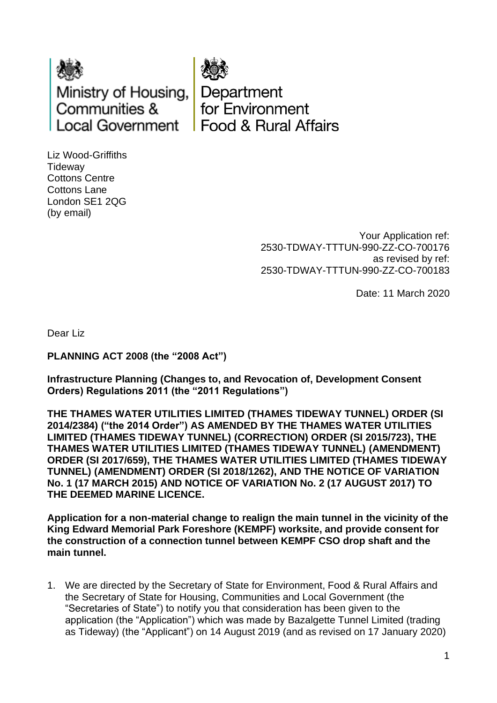



Department for Environment **Food & Bural Affairs** 

Liz Wood-Griffiths **Tideway** Cottons Centre Cottons Lane London SE1 2QG (by email)

> Your Application ref: 2530-TDWAY-TTTUN-990-ZZ-CO-700176 as revised by ref: 2530-TDWAY-TTTUN-990-ZZ-CO-700183

> > Date: 11 March 2020

Dear Liz

## **PLANNING ACT 2008 (the "2008 Act")**

**Infrastructure Planning (Changes to, and Revocation of, Development Consent Orders) Regulations 2011 (the "2011 Regulations")** 

**THE THAMES WATER UTILITIES LIMITED (THAMES TIDEWAY TUNNEL) ORDER (SI 2014/2384) ("the 2014 Order") AS AMENDED BY THE THAMES WATER UTILITIES LIMITED (THAMES TIDEWAY TUNNEL) (CORRECTION) ORDER (SI 2015/723), THE THAMES WATER UTILITIES LIMITED (THAMES TIDEWAY TUNNEL) (AMENDMENT) ORDER (SI 2017/659), THE THAMES WATER UTILITIES LIMITED (THAMES TIDEWAY TUNNEL) (AMENDMENT) ORDER (SI 2018/1262), AND THE NOTICE OF VARIATION No. 1 (17 MARCH 2015) AND NOTICE OF VARIATION No. 2 (17 AUGUST 2017) TO THE DEEMED MARINE LICENCE.**

**Application for a non-material change to realign the main tunnel in the vicinity of the King Edward Memorial Park Foreshore (KEMPF) worksite, and provide consent for the construction of a connection tunnel between KEMPF CSO drop shaft and the main tunnel.**

1. We are directed by the Secretary of State for Environment, Food & Rural Affairs and the Secretary of State for Housing, Communities and Local Government (the "Secretaries of State") to notify you that consideration has been given to the application (the "Application") which was made by Bazalgette Tunnel Limited (trading as Tideway) (the "Applicant") on 14 August 2019 (and as revised on 17 January 2020)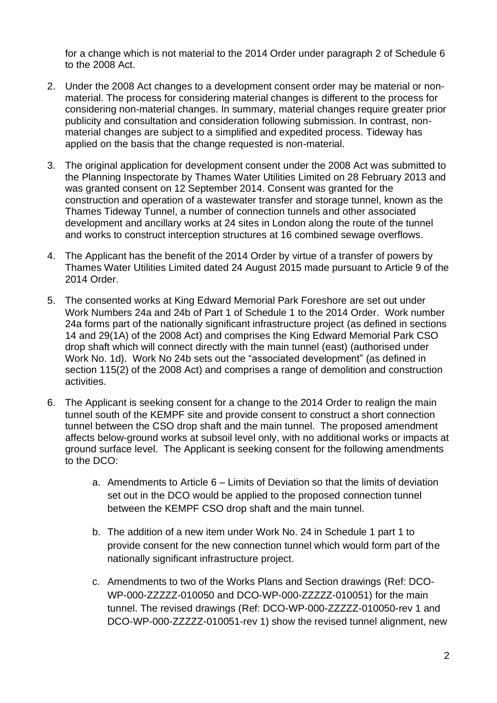for a change which is not material to the 2014 Order under paragraph 2 of Schedule 6 to the 2008 Act.

- 2. Under the 2008 Act changes to a development consent order may be material or nonmaterial. The process for considering material changes is different to the process for considering non-material changes. In summary, material changes require greater prior publicity and consultation and consideration following submission. In contrast, nonmaterial changes are subject to a simplified and expedited process. Tideway has applied on the basis that the change requested is non-material.
- 3. The original application for development consent under the 2008 Act was submitted to the Planning Inspectorate by Thames Water Utilities Limited on 28 February 2013 and was granted consent on 12 September 2014. Consent was granted for the construction and operation of a wastewater transfer and storage tunnel, known as the Thames Tideway Tunnel, a number of connection tunnels and other associated development and ancillary works at 24 sites in London along the route of the tunnel and works to construct interception structures at 16 combined sewage overflows.
- 4. The Applicant has the benefit of the 2014 Order by virtue of a transfer of powers by Thames Water Utilities Limited dated 24 August 2015 made pursuant to Article 9 of the 2014 Order.
- 5. The consented works at King Edward Memorial Park Foreshore are set out under Work Numbers 24a and 24b of Part 1 of Schedule 1 to the 2014 Order. Work number 24a forms part of the nationally significant infrastructure project (as defined in sections 14 and 29(1A) of the 2008 Act) and comprises the King Edward Memorial Park CSO drop shaft which will connect directly with the main tunnel (east) (authorised under Work No. 1d). Work No 24b sets out the "associated development" (as defined in section 115(2) of the 2008 Act) and comprises a range of demolition and construction activities.
- 6. The Applicant is seeking consent for a change to the 2014 Order to realign the main tunnel south of the KEMPF site and provide consent to construct a short connection tunnel between the CSO drop shaft and the main tunnel. The proposed amendment affects below-ground works at subsoil level only, with no additional works or impacts at ground surface level. The Applicant is seeking consent for the following amendments to the DCO:
	- a. Amendments to Article 6 Limits of Deviation so that the limits of deviation set out in the DCO would be applied to the proposed connection tunnel between the KEMPF CSO drop shaft and the main tunnel.
	- b. The addition of a new item under Work No. 24 in Schedule 1 part 1 to provide consent for the new connection tunnel which would form part of the nationally significant infrastructure project.
	- c. Amendments to two of the Works Plans and Section drawings (Ref: DCO-WP-000-ZZZZZ-010050 and DCO-WP-000-ZZZZZ-010051) for the main tunnel. The revised drawings (Ref: DCO-WP-000-ZZZZZ-010050-rev 1 and DCO-WP-000-ZZZZZ-010051-rev 1) show the revised tunnel alignment, new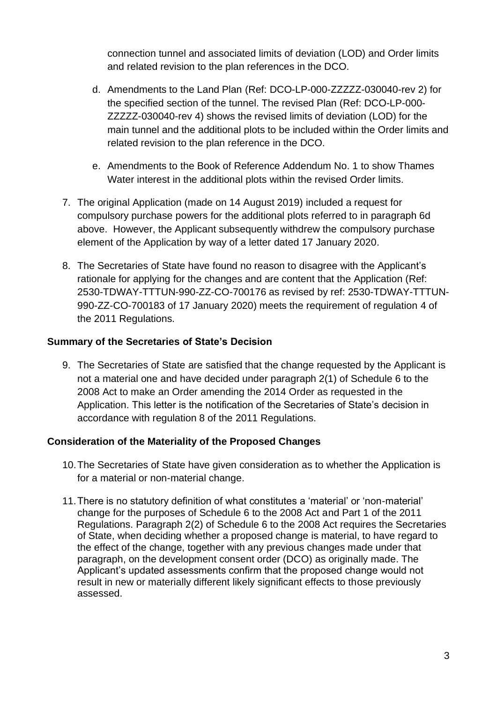connection tunnel and associated limits of deviation (LOD) and Order limits and related revision to the plan references in the DCO.

- d. Amendments to the Land Plan (Ref: DCO-LP-000-ZZZZZ-030040-rev 2) for the specified section of the tunnel. The revised Plan (Ref: DCO-LP-000- ZZZZZ-030040-rev 4) shows the revised limits of deviation (LOD) for the main tunnel and the additional plots to be included within the Order limits and related revision to the plan reference in the DCO.
- e. Amendments to the Book of Reference Addendum No. 1 to show Thames Water interest in the additional plots within the revised Order limits.
- 7. The original Application (made on 14 August 2019) included a request for compulsory purchase powers for the additional plots referred to in paragraph 6d above. However, the Applicant subsequently withdrew the compulsory purchase element of the Application by way of a letter dated 17 January 2020.
- 8. The Secretaries of State have found no reason to disagree with the Applicant's rationale for applying for the changes and are content that the Application (Ref: 2530-TDWAY-TTTUN-990-ZZ-CO-700176 as revised by ref: 2530-TDWAY-TTTUN-990-ZZ-CO-700183 of 17 January 2020) meets the requirement of regulation 4 of the 2011 Regulations.

# **Summary of the Secretaries of State's Decision**

9. The Secretaries of State are satisfied that the change requested by the Applicant is not a material one and have decided under paragraph 2(1) of Schedule 6 to the 2008 Act to make an Order amending the 2014 Order as requested in the Application. This letter is the notification of the Secretaries of State's decision in accordance with regulation 8 of the 2011 Regulations.

# **Consideration of the Materiality of the Proposed Changes**

- 10.The Secretaries of State have given consideration as to whether the Application is for a material or non-material change.
- 11.There is no statutory definition of what constitutes a 'material' or 'non-material' change for the purposes of Schedule 6 to the 2008 Act and Part 1 of the 2011 Regulations. Paragraph 2(2) of Schedule 6 to the 2008 Act requires the Secretaries of State, when deciding whether a proposed change is material, to have regard to the effect of the change, together with any previous changes made under that paragraph, on the development consent order (DCO) as originally made. The Applicant's updated assessments confirm that the proposed change would not result in new or materially different likely significant effects to those previously assessed.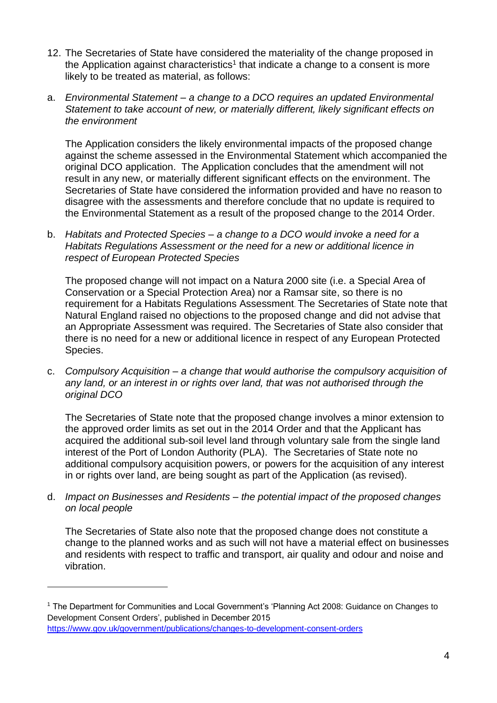- 12. The Secretaries of State have considered the materiality of the change proposed in the Application against characteristics<sup>1</sup> that indicate a change to a consent is more likely to be treated as material, as follows:
- a. *Environmental Statement – a change to a DCO requires an updated Environmental Statement to take account of new, or materially different, likely significant effects on the environment*

The Application considers the likely environmental impacts of the proposed change against the scheme assessed in the Environmental Statement which accompanied the original DCO application. The Application concludes that the amendment will not result in any new, or materially different significant effects on the environment. The Secretaries of State have considered the information provided and have no reason to disagree with the assessments and therefore conclude that no update is required to the Environmental Statement as a result of the proposed change to the 2014 Order.

b. *Habitats and Protected Species – a change to a DCO would invoke a need for a Habitats Regulations Assessment or the need for a new or additional licence in respect of European Protected Species*

The proposed change will not impact on a Natura 2000 site (i.e. a Special Area of Conservation or a Special Protection Area) nor a Ramsar site, so there is no requirement for a Habitats Regulations Assessment. The Secretaries of State note that Natural England raised no objections to the proposed change and did not advise that an Appropriate Assessment was required. The Secretaries of State also consider that there is no need for a new or additional licence in respect of any European Protected Species.

c. *Compulsory Acquisition – a change that would authorise the compulsory acquisition of any land, or an interest in or rights over land, that was not authorised through the original DCO*

The Secretaries of State note that the proposed change involves a minor extension to the approved order limits as set out in the 2014 Order and that the Applicant has acquired the additional sub-soil level land through voluntary sale from the single land interest of the Port of London Authority (PLA). The Secretaries of State note no additional compulsory acquisition powers, or powers for the acquisition of any interest in or rights over land, are being sought as part of the Application (as revised).

d. *Impact on Businesses and Residents – the potential impact of the proposed changes on local people*

The Secretaries of State also note that the proposed change does not constitute a change to the planned works and as such will not have a material effect on businesses and residents with respect to traffic and transport, air quality and odour and noise and vibration.

<sup>1</sup> The Department for Communities and Local Government's 'Planning Act 2008: Guidance on Changes to Development Consent Orders', published in December 2015 <https://www.gov.uk/government/publications/changes-to-development-consent-orders>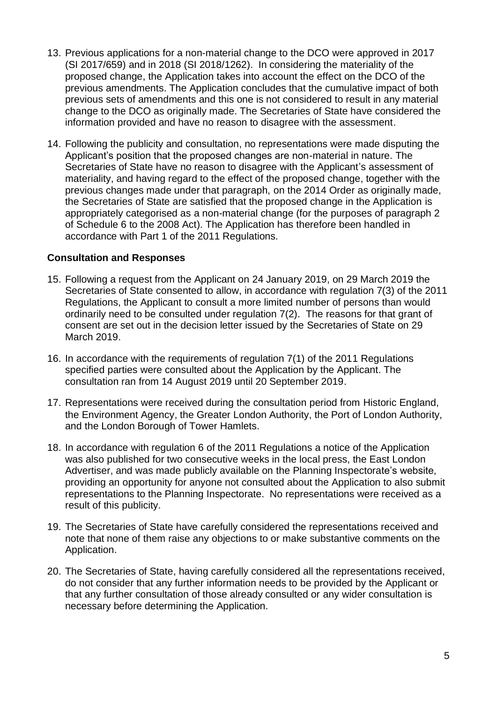- 13. Previous applications for a non-material change to the DCO were approved in 2017 (SI 2017/659) and in 2018 (SI 2018/1262). In considering the materiality of the proposed change, the Application takes into account the effect on the DCO of the previous amendments. The Application concludes that the cumulative impact of both previous sets of amendments and this one is not considered to result in any material change to the DCO as originally made. The Secretaries of State have considered the information provided and have no reason to disagree with the assessment.
- 14. Following the publicity and consultation, no representations were made disputing the Applicant's position that the proposed changes are non-material in nature. The Secretaries of State have no reason to disagree with the Applicant's assessment of materiality, and having regard to the effect of the proposed change, together with the previous changes made under that paragraph, on the 2014 Order as originally made, the Secretaries of State are satisfied that the proposed change in the Application is appropriately categorised as a non-material change (for the purposes of paragraph 2 of Schedule 6 to the 2008 Act). The Application has therefore been handled in accordance with Part 1 of the 2011 Regulations.

### **Consultation and Responses**

- 15. Following a request from the Applicant on 24 January 2019, on 29 March 2019 the Secretaries of State consented to allow, in accordance with regulation 7(3) of the 2011 Regulations, the Applicant to consult a more limited number of persons than would ordinarily need to be consulted under regulation 7(2). The reasons for that grant of consent are set out in the decision letter issued by the Secretaries of State on 29 March 2019.
- 16. In accordance with the requirements of regulation 7(1) of the 2011 Regulations specified parties were consulted about the Application by the Applicant. The consultation ran from 14 August 2019 until 20 September 2019.
- 17. Representations were received during the consultation period from Historic England, the Environment Agency, the Greater London Authority, the Port of London Authority, and the London Borough of Tower Hamlets.
- 18. In accordance with regulation 6 of the 2011 Regulations a notice of the Application was also published for two consecutive weeks in the local press, the East London Advertiser, and was made publicly available on the Planning Inspectorate's website, providing an opportunity for anyone not consulted about the Application to also submit representations to the Planning Inspectorate. No representations were received as a result of this publicity.
- 19. The Secretaries of State have carefully considered the representations received and note that none of them raise any objections to or make substantive comments on the Application.
- 20. The Secretaries of State, having carefully considered all the representations received, do not consider that any further information needs to be provided by the Applicant or that any further consultation of those already consulted or any wider consultation is necessary before determining the Application.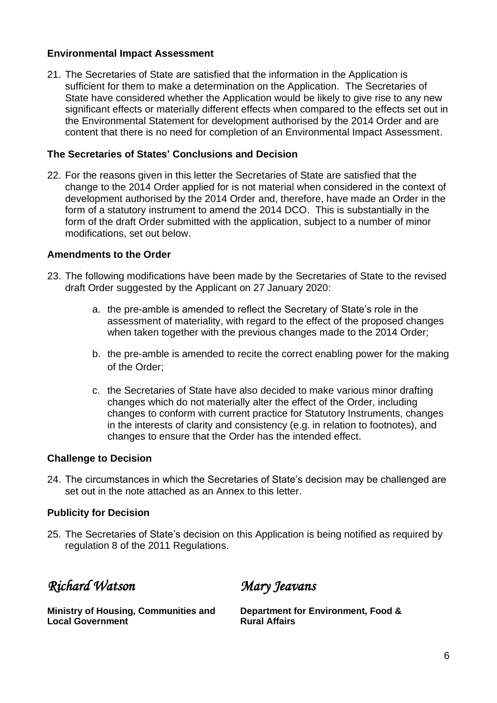## **Environmental Impact Assessment**

21. The Secretaries of State are satisfied that the information in the Application is sufficient for them to make a determination on the Application. The Secretaries of State have considered whether the Application would be likely to give rise to any new significant effects or materially different effects when compared to the effects set out in the Environmental Statement for development authorised by the 2014 Order and are content that there is no need for completion of an Environmental Impact Assessment.

### **The Secretaries of States' Conclusions and Decision**

22. For the reasons given in this letter the Secretaries of State are satisfied that the change to the 2014 Order applied for is not material when considered in the context of development authorised by the 2014 Order and, therefore, have made an Order in the form of a statutory instrument to amend the 2014 DCO. This is substantially in the form of the draft Order submitted with the application, subject to a number of minor modifications, set out below.

### **Amendments to the Order**

- 23. The following modifications have been made by the Secretaries of State to the revised draft Order suggested by the Applicant on 27 January 2020:
	- a. the pre-amble is amended to reflect the Secretary of State's role in the assessment of materiality, with regard to the effect of the proposed changes when taken together with the previous changes made to the 2014 Order;
	- b. the pre-amble is amended to recite the correct enabling power for the making of the Order;
	- c. the Secretaries of State have also decided to make various minor drafting changes which do not materially alter the effect of the Order, including changes to conform with current practice for Statutory Instruments, changes in the interests of clarity and consistency (e.g. in relation to footnotes), and changes to ensure that the Order has the intended effect.

#### **Challenge to Decision**

24. The circumstances in which the Secretaries of State's decision may be challenged are set out in the note attached as an Annex to this letter.

#### **Publicity for Decision**

25. The Secretaries of State's decision on this Application is being notified as required by regulation 8 of the 2011 Regulations.

*Richard Watson* 

*Mary Jeavans* 

**Ministry of Housing, Communities and Local Government**

**Department for Environment, Food & Rural Affairs**